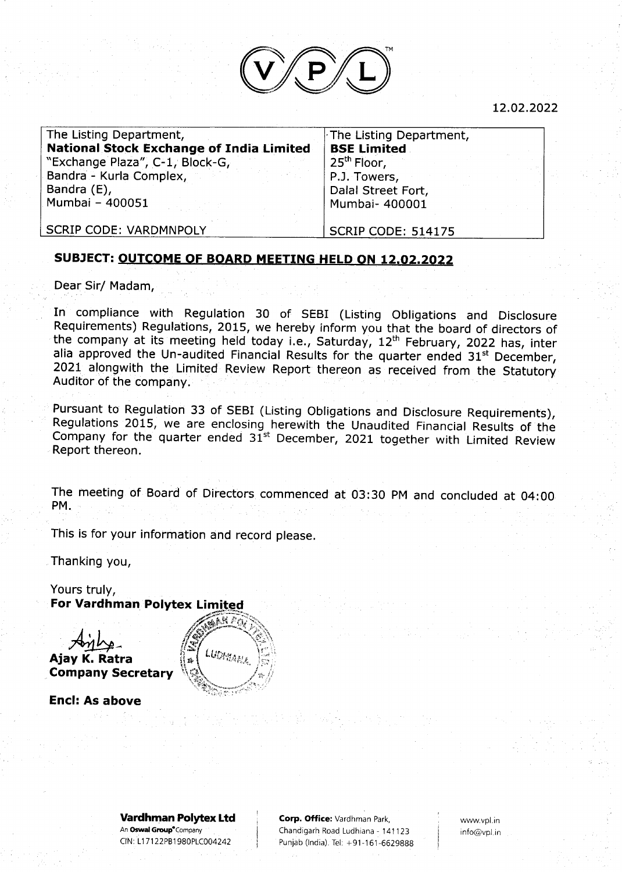

L2.O2.2022

| The Listing Department,                         | $\mathrel{\vdash}$ The Lis |
|-------------------------------------------------|----------------------------|
| <b>National Stock Exchange of India Limited</b> | <b>BSE Li</b>              |
| "Exchange Plaza", C-1, Block-G,                 | $25th$ Fic                 |
| Bandra - Kurla Complex,                         | P.J. To                    |
| Bandra (E),                                     | Dalal S                    |
| Mumbai - 400051                                 | Mumba                      |

sting Department, imited oor, wers, Street Fort, ai- 400001

SCRIP CODE: VARDMNPOLY

SCRIP CODE: 514175

## SUBJECT: OUTCOME OF BOARD MEETING HELD ON 12.O2.2O22

Dear Sir/ Madam,

In compliance with Regulation 30 of SEBI (Listing Obligations and Disclosure Requirements) Regulations, 2015, we hereby inform you that the board of directors of the company at its meeting held today i.e., Saturday, 12<sup>th</sup> February, 2022 has, inter alia approved the Un-audited Financial Results for the quarter ended 31<sup>st</sup> December, 2021 alongwith the Limited Review Report thereon as received from the Statutory Auditor of the company.

Pursuant to Regulation 33 of SEBI (Listing Obligations and Disclosure Requirements), Regulations 2015, we are enclosing herewith the Unaudited Financial Results of the<br>Company for the quarter ended 31<sup>st</sup> December, 2021 together with Limited Review Report thereon.

The meeting of Board of Directors commenced at 03:30 PM and concluded at 04: <sup>00</sup> PM.

This is for your information and record please

Thanking you,

Yours truly, For Vardhman Polytex Limited

 $A$ inhe Ajay K. Ratra Company Secretary



Encl: As above

Vardhman Polytex Ltd An Oswal Group<sup>®</sup>Company CIN: L1 7 1 22PB1 98OPLCOO4242

Corp. Office: Vardhman Park, Chandigarh Road Ludhiana - 141123 Punjab (India). Tel: +91-161-6629888

www.vpl,in info@vpl.in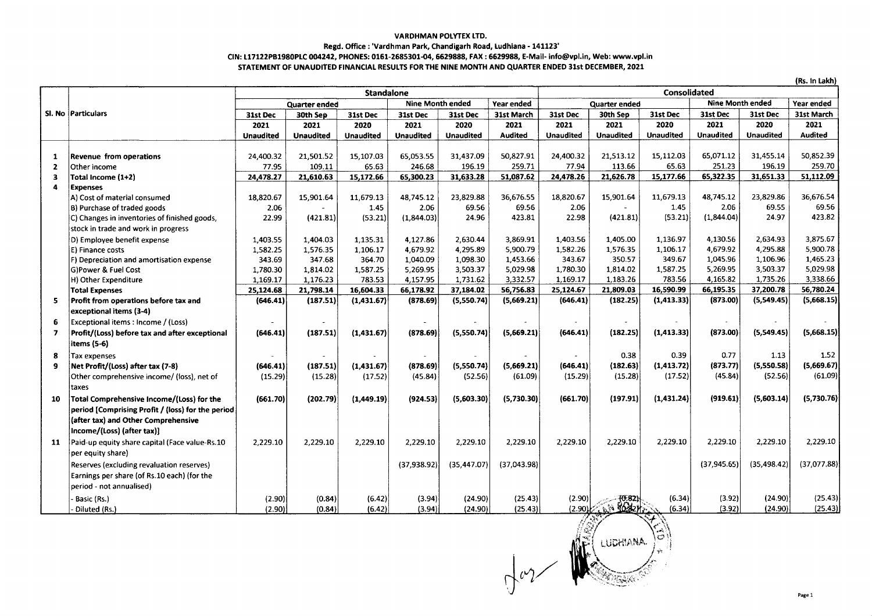## **VARDHMAN POLYTEX LTD.**

## Regd. Office : 'Vardhman Park, Chandigarh Road, Ludhiana - 141123'

## CIN: L17122PB1980PLC 004242, PHONES: 0161-2685301-04, 6629888, FAX : 6629988, E-Mail- info@vpl.in, Web: www.vpl.in

STATEMENT OF UNAUDITED FINANCIAL RESULTS FOR THE NINE MONTH AND QUARTER ENDED 31st DECEMBER, 2021

|                | (Rs. In Lakh)                                     |                  |           |                  |                         |                  |                |                     |                         |                  |                         |                  |                |  |
|----------------|---------------------------------------------------|------------------|-----------|------------------|-------------------------|------------------|----------------|---------------------|-------------------------|------------------|-------------------------|------------------|----------------|--|
|                |                                                   | Standalone       |           |                  |                         |                  |                | <b>Consolidated</b> |                         |                  |                         |                  |                |  |
|                |                                                   | Quarter ended    |           |                  | <b>Nine Month ended</b> |                  | Year ended     | Quarter ended       |                         |                  | <b>Nine Month ended</b> |                  | Year ended     |  |
|                | SI. No Particulars                                | 31st Dec         | 30th Sep  | 31st Dec         | 31st Dec                | 31st Dec         | 31st March     | 31st Dec            | 30th Sep                | 31st Dec         | 31st Dec                | 31st Dec         | 31st March     |  |
|                |                                                   | 2021             | 2021      | 2020             | 2021                    | 2020             | 2021           | 2021                | 2021                    | 2020             | 2021                    | 2020             | 2021           |  |
|                |                                                   | <b>Unaudited</b> | Unaudited | <b>Unaudited</b> | <b>Unaudited</b>        | <b>Unaudited</b> | <b>Audited</b> | <b>Unaudited</b>    | <b>Unaudited</b>        | <b>Unaudited</b> | <b>Unaudited</b>        | <b>Unaudited</b> | <b>Audited</b> |  |
|                |                                                   |                  |           |                  |                         |                  |                |                     |                         |                  |                         |                  |                |  |
| -1             | Revenue from operations                           | 24,400.32        | 21,501.52 | 15,107.03        | 65,053.55               | 31,437.09        | 50,827.91      | 24,400.32           | 21,513.12               | 15,112.03        | 65.071.12               | 31,455.14        | 50,852.39      |  |
| $\overline{2}$ | Other income                                      | 77.95            | 109.11    | 65.63            | 246.68                  | 196.19           | 259.71         | 77.94               | 113.66                  | 65.63            | 251.23                  | 196.19           | 259.70         |  |
| 3              | Total Income (1+2)                                | 24,478.27        | 21,610.63 | 15,172.66        | 65,300.23               | 31,633.28        | 51,087.62      | 24,478.26           | 21,626.78               | 15,177.66        | 65,322.35               | 31,651.33        | 51,112.09      |  |
| 4              | <b>Expenses</b>                                   |                  |           |                  |                         |                  |                |                     |                         |                  |                         |                  |                |  |
|                | A) Cost of material consumed                      | 18,820.67        | 15,901.64 | 11,679.13        | 48,745.12               | 23,829.88        | 36,676.55      | 18,820.67           | 15,901.64               | 11,679.13        | 48,745.12               | 23.829.86        | 36,676.54      |  |
|                | B) Purchase of traded goods                       | 2.06             |           | 1.45             | 2.06                    | 69.56            | 69.56          | 2.06                |                         | 1.45             | 2.06                    | 69.55            | 69.56          |  |
|                | C) Changes in inventories of finished goods,      | 22.99            | (421.81)  | (53.21)          | (1,844.03)              | 24.96            | 423.81         | 22.98               | (421.81)                | (53.21)          | (1,844.04)              | 24.97            | 423.82         |  |
|                | stock in trade and work in progress               |                  |           |                  |                         |                  |                |                     |                         |                  |                         |                  |                |  |
|                | D) Employee benefit expense                       | 1,403.55         | 1,404.03  | 1,135.31         | 4,127.86                | 2,630.44         | 3,869.91       | 1,403.56            | 1,405.00                | 1,136.97         | 4,130.56                | 2,634.93         | 3,875.67       |  |
|                | E) Finance costs                                  | 1,582.25         | 1,576.35  | 1,106.17         | 4.679.92                | 4.295.89         | 5.900.79       | 1,582.26            | 1,576.35                | 1,106.17         | 4,679.92                | 4.295.88         | 5,900.78       |  |
|                | F) Depreciation and amortisation expense          | 343.69           | 347.68    | 364.70           | 1,040.09                | 1,098.30         | 1,453.66       | 343.67              | 350.57                  | 349.67           | 1,045.96                | 1,106.96         | 1,465.23       |  |
|                | G)Power & Fuel Cost                               | 1,780.30         | 1,814.02  | 1,587.25         | 5,269.95                | 3,503.37         | 5.029.98       | 1,780.30            | 1,814.02                | 1,587.25         | 5.269.95                | 3,503.37         | 5,029.98       |  |
|                | H) Other Expenditure                              | 1,169.17         | 1,176.23  | 783.53           | 4,157.95                | 1,731.62         | 3,332.57       | 1,169.17            | 1,183.26                | 783.56           | 4,165.82                | 1,735.26         | 3,338.66       |  |
|                | <b>Total Expenses</b>                             | 25,124.68        | 21,798.14 | 16,604.33        | 66,178.92               | 37,184.02        | 56,756.83      | 25,124.67           | 21,809.03               | 16,590.99        | 66,195.35               | 37,200.78        | 56,780.24      |  |
| 5.             | Profit from operations before tax and             | (646.41)         | (187.51)  | (1,431.67)       | (878.69)                | (5,550.74)       | (5,669.21)     | (646.41)            | (182.25)                | (1, 413.33)      | (873.00)                | (5,549.45)       | (5,668.15)     |  |
|                | exceptional items (3-4)                           |                  |           |                  |                         |                  |                |                     |                         |                  |                         |                  |                |  |
| 6              | Exceptional items : Income / (Loss)               |                  |           |                  |                         |                  |                |                     |                         |                  |                         |                  |                |  |
| 7              | Profit/(Loss) before tax and after exceptional    | (646.41)         | (187.51)  | (1,431.67)       | (878.69)                | (5,550.74)       | (5,669.21)     | (646.41)            | (182.25)                | (1, 413.33)      | (873.00)                | (5,549.45)       | (5,668.15)     |  |
|                | items (5-6)                                       |                  |           |                  |                         |                  |                |                     |                         |                  |                         |                  |                |  |
|                |                                                   |                  |           |                  |                         |                  |                |                     |                         |                  |                         |                  |                |  |
| 8              | Tax expenses                                      |                  |           |                  |                         |                  |                |                     | 0.38                    | 0.39             | 0.77                    | 1.13             | 1.52           |  |
| 9              | Net Profit/(Loss) after tax (7-8)                 | (646.41)         | (187.51)  | (1,431.67)       | (878.69)                | (5,550.74)       | (5,669.21)     | (646.41)            | (182.63)                | (1, 413.72)      | (873.77)                | (5,550.58)       | (5,669.67)     |  |
|                | Other comprehensive income/ (loss), net of        | (15.29)          | (15.28)   | (17.52)          | (45.84)                 | (52.56)          | (61.09)        | (15.29)             | (15.28)                 | (17.52)          | (45.84)                 | (52.56)          | (61.09)        |  |
|                | taxes                                             |                  |           |                  |                         |                  |                |                     |                         |                  |                         |                  |                |  |
| 10             | Total Comprehensive Income/(Loss) for the         | (661.70)         | (202.79)  | (1,449.19)       | (924.53)                | (5,603.30)       | (5,730.30)     | (661.70)            | (197.91)                | (1,431.24)       | (919.61)                | (5,603.14)       | (5,730.76)     |  |
|                | period [Comprising Profit / (loss) for the period |                  |           |                  |                         |                  |                |                     |                         |                  |                         |                  |                |  |
|                | (after tax) and Other Comprehensive               |                  |           |                  |                         |                  |                |                     |                         |                  |                         |                  |                |  |
|                | Income/(Loss) (after tax)]                        |                  |           |                  |                         |                  |                |                     |                         |                  |                         |                  |                |  |
| 11             | Paid-up equity share capital (Face value-Rs.10    | 2,229.10         | 2,229.10  | 2,229.10         | 2,229.10                | 2,229.10         | 2,229.10       | 2,229.10            | 2,229.10                | 2,229.10         | 2,229.10                | 2,229.10         | 2,229.10       |  |
|                | per equity share)                                 |                  |           |                  |                         |                  |                |                     |                         |                  |                         |                  |                |  |
|                |                                                   |                  |           |                  |                         |                  |                |                     |                         |                  |                         |                  | (37,077.88)    |  |
|                | Reserves (excluding revaluation reserves)         |                  |           |                  | (37,938.92)             | (35, 447.07)     | (37,043.98)    |                     |                         |                  | (37, 945.65)            | (35, 498.42)     |                |  |
|                | Earnings per share (of Rs.10 each) (for the       |                  |           |                  |                         |                  |                |                     |                         |                  |                         |                  |                |  |
|                | period - not annualised)                          |                  |           |                  |                         |                  |                |                     |                         |                  |                         |                  |                |  |
|                | Basic (Rs.)                                       | (2.90)           | (0.84)    | (6.42)           | (3.94)                  | (24.90)          | (25.43)        | (2.90)              | (6.82)                  | (6.34)           | (3.92)                  | (24.90)          | (25.43)        |  |
|                | Diluted (Rs.)                                     | (2.90)           | (0.84)    | (6.42)           | (3.94)                  | (24.90)          | (25.43)        |                     | (2.90) 6 0 may 10 10 10 | (6.34)           | (3.92)                  | (24.90)          | (25.43)        |  |



Page 1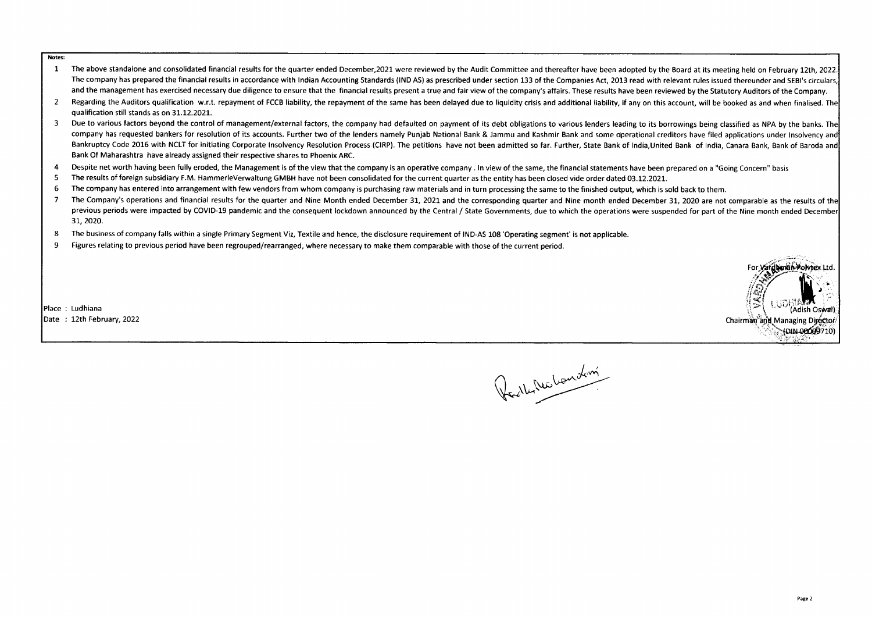Notes:

- The above standalone and consolidated financial results for the quarter ended December, 2021 were reviewed by the Audit Committee and thereafter have been adopted by the Board at its meeting held on February 12th, 2022.  $\mathbf{1}$ The company has prepared the financial results in accordance with Indian Accounting Standards (IND AS) as prescribed under section 133 of the Companies Act, 2013 read with relevant rules issued thereunder and SEBI's circul and the management has exercised necessary due diligence to ensure that the financial results present a true and fair view of the company's affairs. These results have been reviewed by the Statutory Auditors of the Company
- $\overline{2}$ Regarding the Auditors qualification w.r.t. repayment of FCCB liability, the repayment of the same has been delayed due to liquidity crisis and additional liability. if any on this account, will be booked as and when final qualification still stands as on 31.12.2021.
- $\overline{\mathbf{3}}$ Due to various factors beyond the control of management/external factors, the company had defaulted on payment of its debt obligations to various lenders leading to its borrowings being classified as NPA by the banks. The company has requested bankers for resolution of its accounts. Further two of the lenders namely Puniab National Bank & Jammu and Kashmir Bank and some operational creditors have filed applications under Insolvency and Bankruptcy Code 2016 with NCLT for initiating Corporate Insolvency Resolution Process (CIRP). The petitions have not been admitted so far. Further, State Bank of India, United Bank of India, Canara Bank, Bank of Baroda and Bank Of Maharashtra have already assigned their respective shares to Phoenix ARC.
- $\overline{4}$ Despite net worth having been fully eroded, the Management is of the view that the company is an operative company. In view of the same, the financial statements have been prepared on a "Going Concern" basis
- The results of foreign subsidiary F.M. HammerleVerwaltung GMBH have not been consolidated for the current quarter as the entity has been closed vide order dated 03.12.2021. 5
- The company has entered into arrangement with few vendors from whom company is purchasing raw materials and in turn processing the same to the finished output, which is sold back to them. 6
- $\overline{7}$ The Company's operations and financial results for the quarter and Nine Month ended December 31, 2021 and the corresponding quarter and Nine month ended December 31, 2020 are not comparable as the results of the previous periods were impacted by COVID-19 pandemic and the consequent lockdown announced by the Central / State Governments, due to which the operations were suspended for part of the Nine month ended December 31, 2020.
- 8 The business of company falls within a single Primary Segment Viz, Textile and hence, the disclosure requirement of IND-AS 108 'Operating segment' is not applicable.
- 9 Figures relating to previous period have been regrouped/rearranged, where necessary to make them comparable with those of the current period.

Place: Ludhiana Date: 12th February, 2022



Redby Nichardon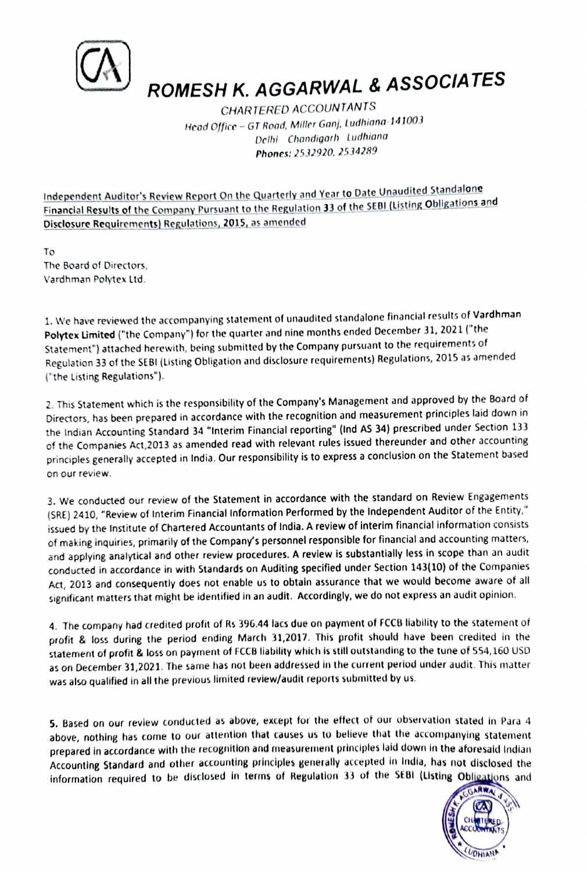

ROMESH K. AGGARWAL & ASSOCIATES

CHARTERED ACCOUNTANTS Heod Office - GT Road, Miller Ganj, Ludhiana <sup>141003</sup> Delhi Chandigorh ludhiana Phones: 2532920, 2534289

Independent Auditor's Review Report On the Quarterly and Year to Date Unaudited Standalone Financial Results of the Company Pursuant to the Regulation 33 of the SEBI (Listing Obligations and Disclosure Requirements) Regulations, 2015, as amended

To The Board of Directors, Vardhman Polytex Ltd.

1. We have reviewed the accompanying statement of unaudited standalone financial results of Vardhman Polytex Limited ("the Company") for the quarter and nine months ended December 31, 2021 ("the Statement") attached herewith, being submitted by the Company pursuant to the requirements of Regulation 33 of the SEBI (Listing Obligation and disclosure requirements) Regulations, 2015 as amended ("the Listing Regulations").

2. This Statement which is the responsibility of the Company's Management and approved by the Board of Directors, has been prepared in accordance with the recognition and measurement principles laid down in the Indian Accounting Standard 34 "Interim Financial reporting" (lnd AS 34) prescribed under Section 133 of the Companies Act,2013 as amended read with relevant rules issued thereunder and other accounting principles generally accepted in India. Our responsibility is to express a conclusion on the Statement based on our review.

3. We conducted our review of the Statement in accordance with the standard on Review Engagements (SRE) 2410, "Review of Interim Financial Information Performed by the Independent Auditor of the Entity," issued by the Institute of Chartered Accountants of India. A review of interim financial information consists of making inquiries, primarily of the Company's personnel responsible for financial and accounting matters, and applying analytical and other review procedures. A review is substantially less in scope than an audit conducted in accordance in with Standards on Auditing specified under Section 143(10) of the Companies Act, 2013 and consequently does not enable us to obtain assurance that we would become aware of all significant matters that might be identified in an audit. Accordingly, we do not express an audit opinion.

4. The company had credited profit of Rs 396.44 lacs due on payment of FCCB liability to the statement of profit& loss during the period ending March 31,2017. This profit should have been credited in the statement of profit & loss on paynent of FCCB liability which is still outstanding to the tune of 554,160 USD as on December 31,2021. The same has not been addressed in the current period under audit. This matter was also qualified in all the previous limited review/audit reports submitted by us.

5. Based on our review conducted as above, except for the effect of our observation stated in Para 4 above, nothing has come to our attention that causes us to believe that the accompanying statement prepared in accordance with the recognition and measurement principles laid down in the aforesaid Indian Accounting Standard and other accounting principles generally accepted in India, has not disclosed the information required to be disclosed in terms of Regulation 33 of the SEBI (Listing Obligations and